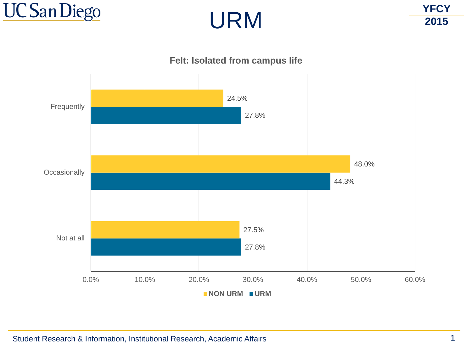





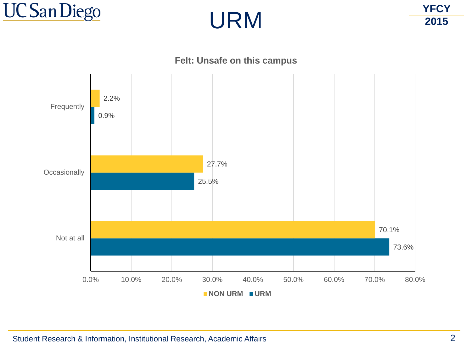





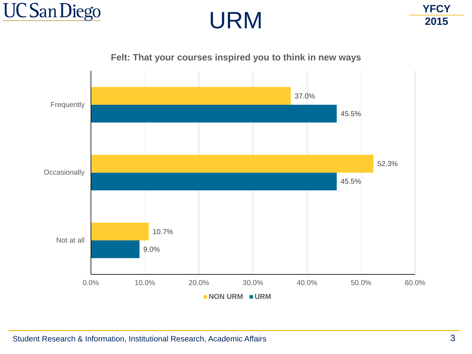



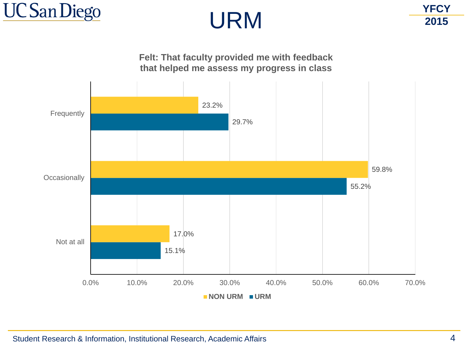



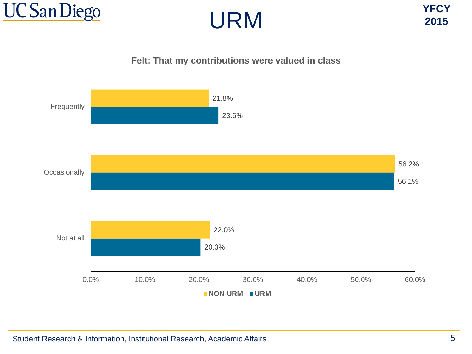



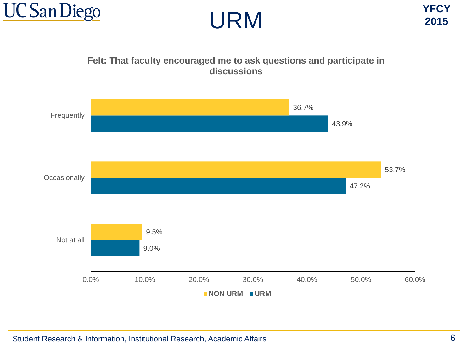





**Felt: That faculty encouraged me to ask questions and participate in**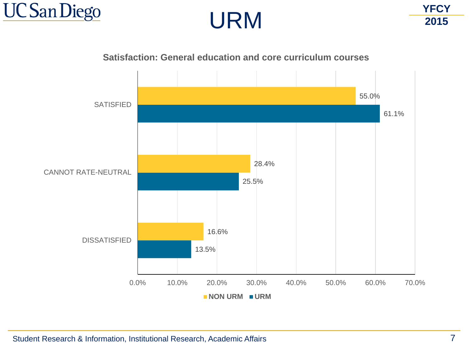





**Satisfaction: General education and core curriculum courses**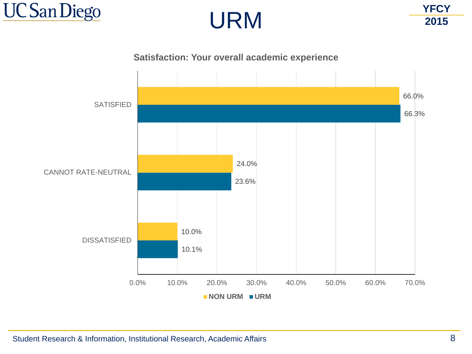



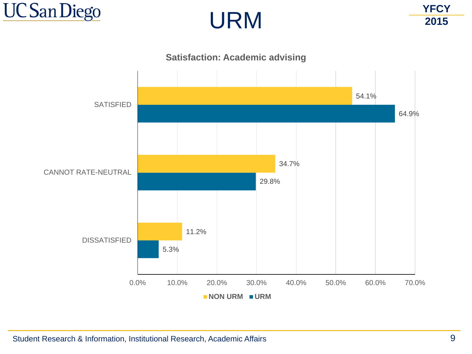





## Student Research & Information, Institutional Research, Academic Affairs **9** and  $\overline{9}$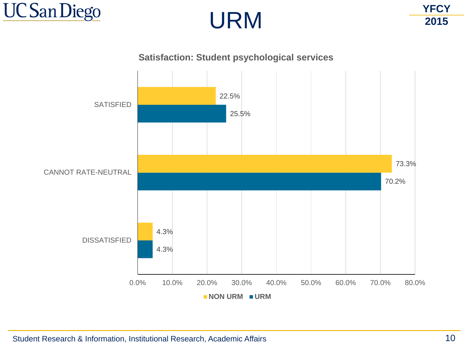





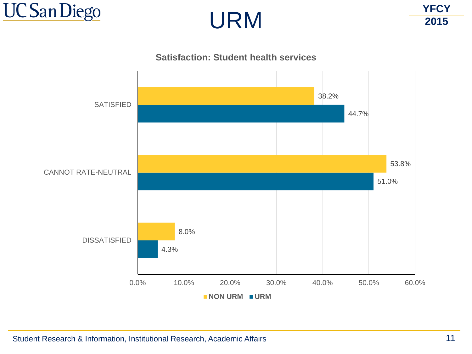



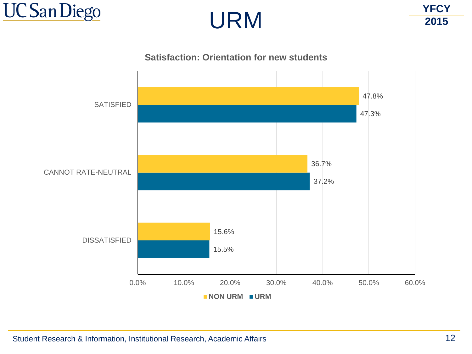



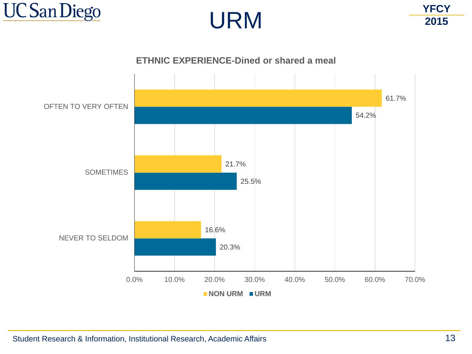



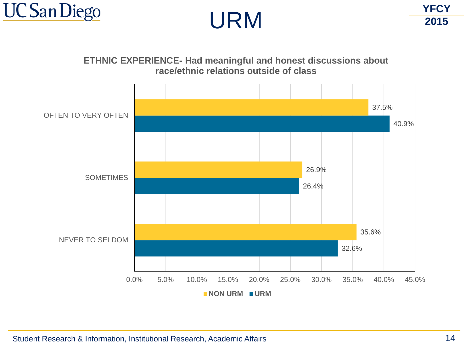



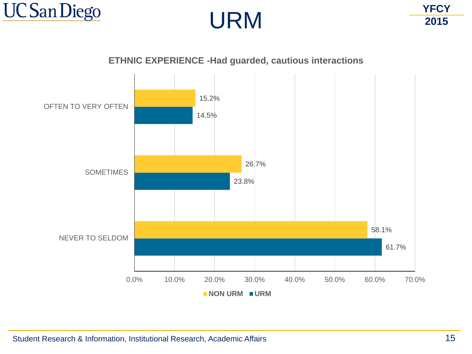





**ETHNIC EXPERIENCE -Had guarded, cautious interactions**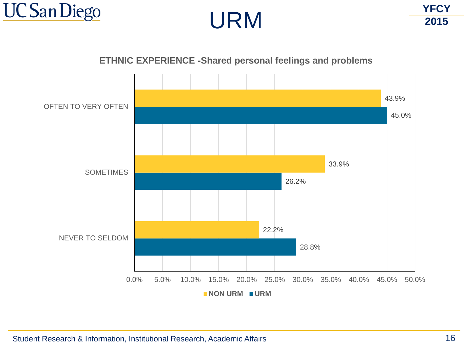





## **ETHNIC EXPERIENCE -Shared personal feelings and problems**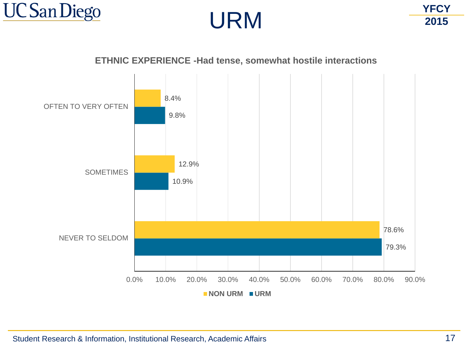





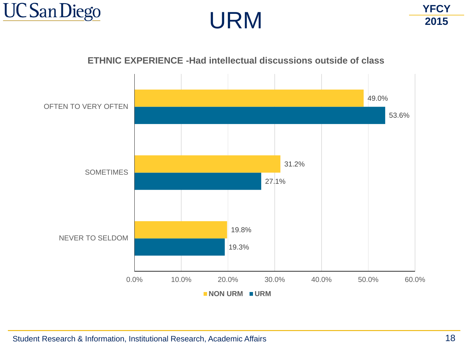





## **ETHNIC EXPERIENCE -Had intellectual discussions outside of class**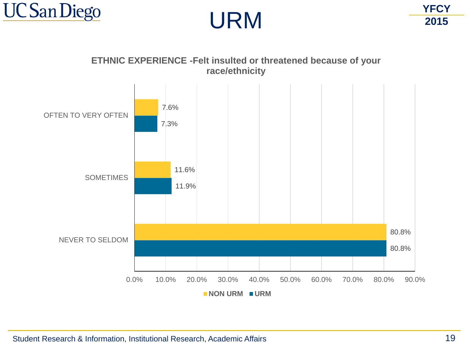



**ETHNIC EXPERIENCE -Felt insulted or threatened because of your race/ethnicity**

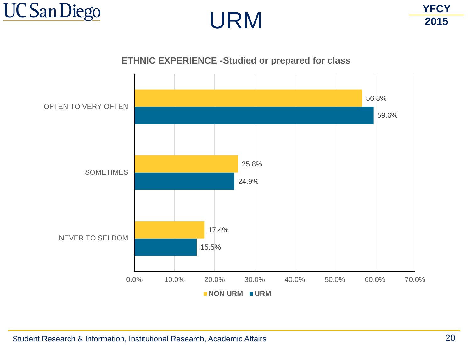



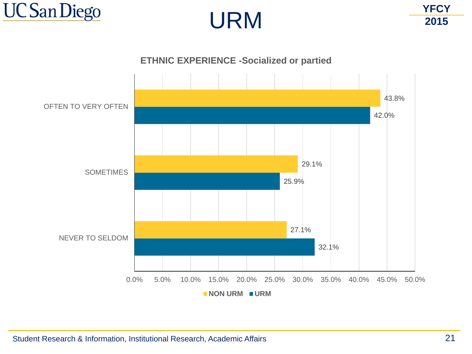



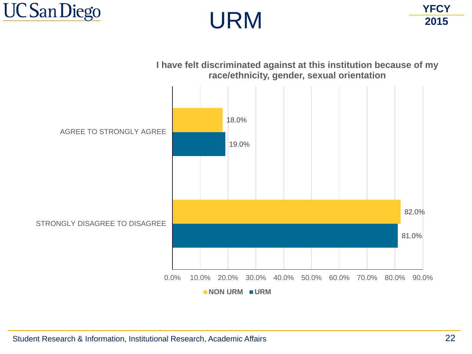





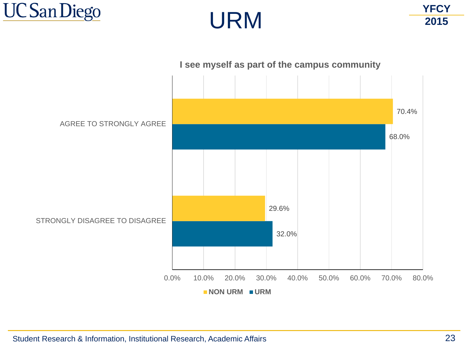



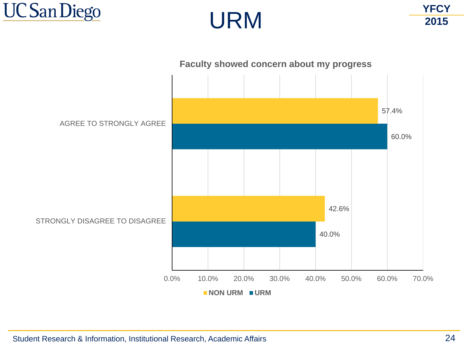



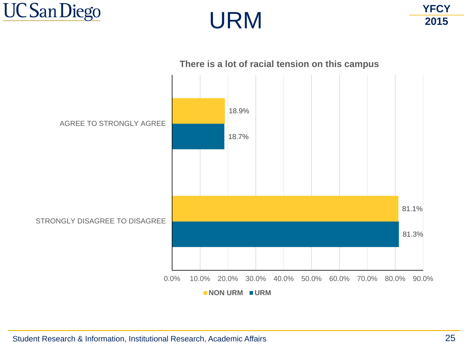



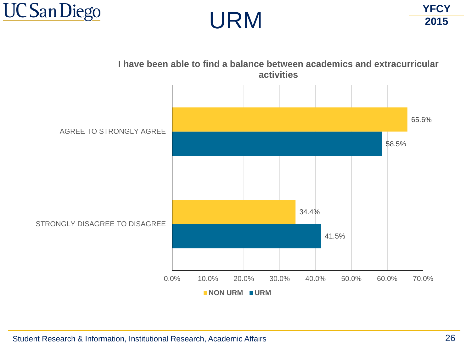





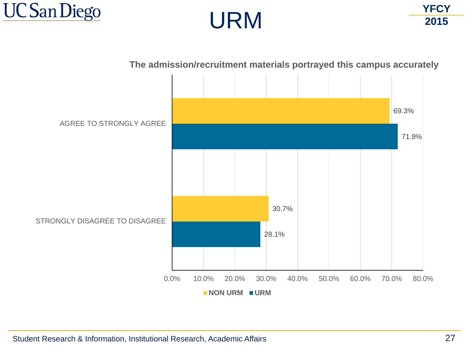





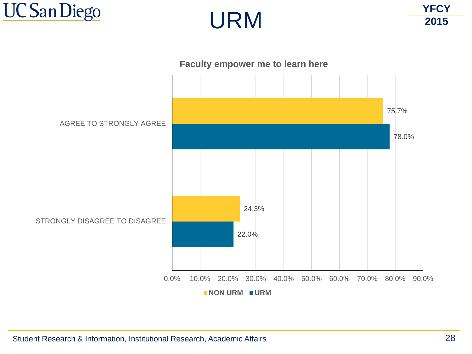



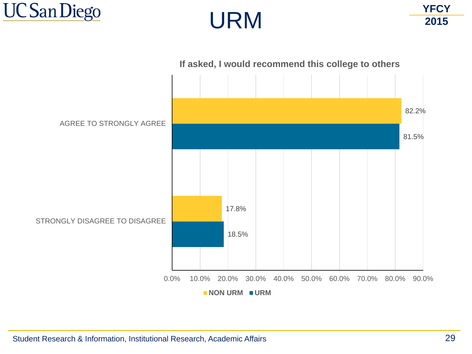



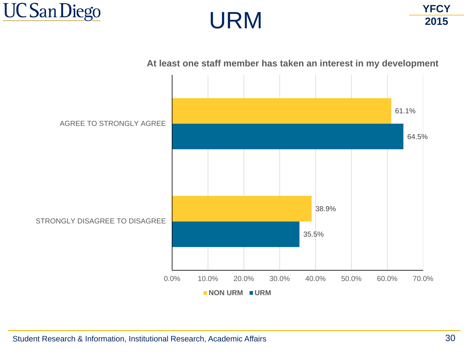



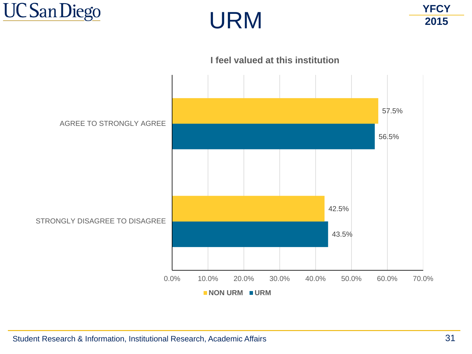



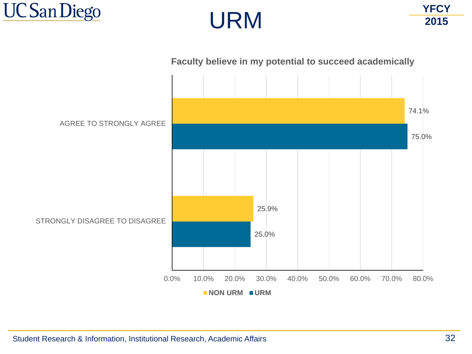





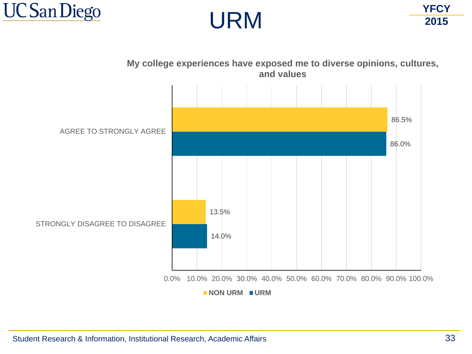





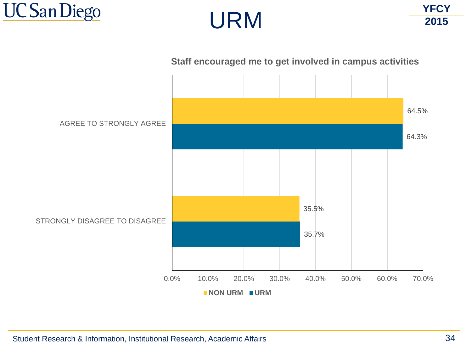



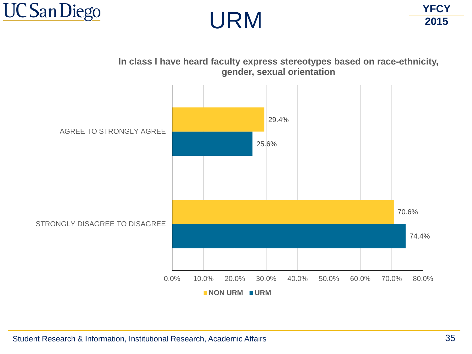





**In class I have heard faculty express stereotypes based on race-ethnicity, gender, sexual orientation**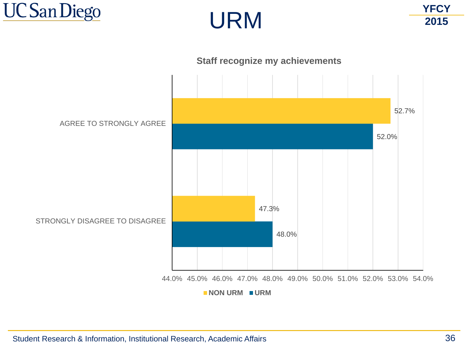



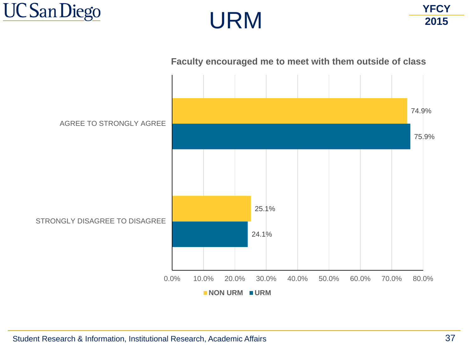



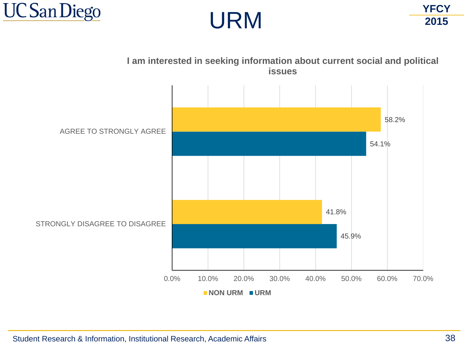





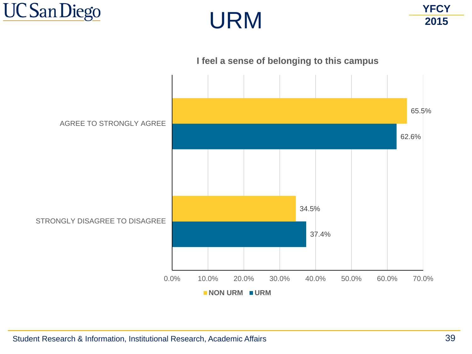



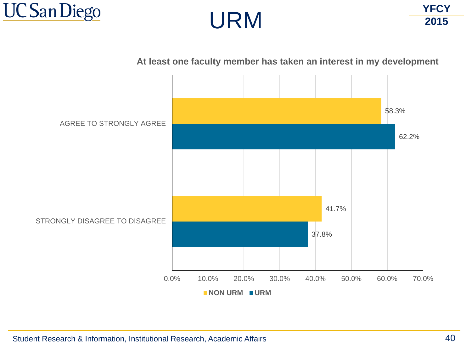





**At least one faculty member has taken an interest in my development**

Student Research & Information, Institutional Research, Academic Affairs 40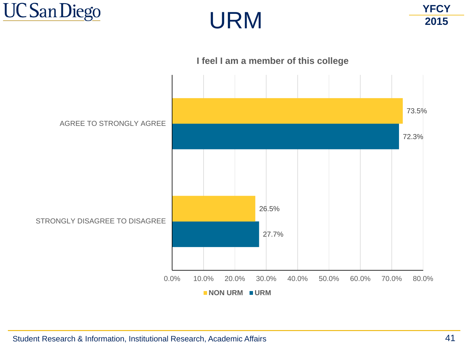



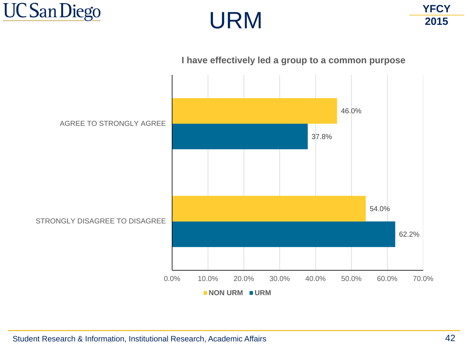







**I have effectively led a group to a common purpose**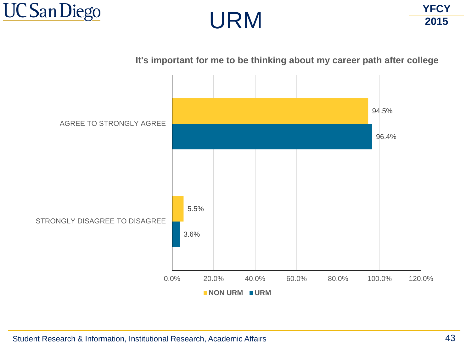





**It's important for me to be thinking about my career path after college**

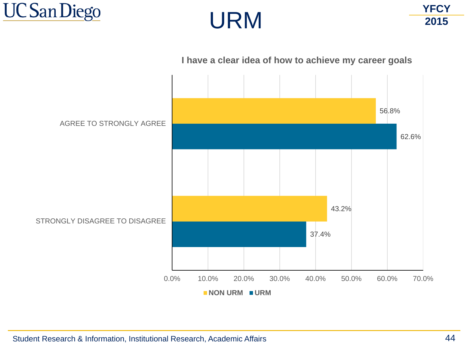





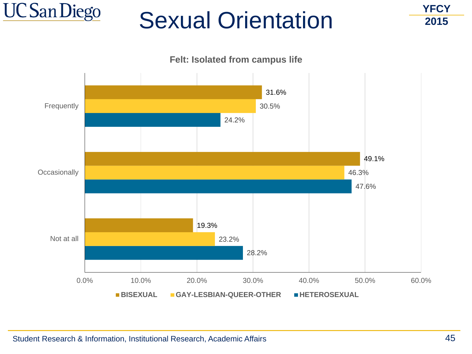

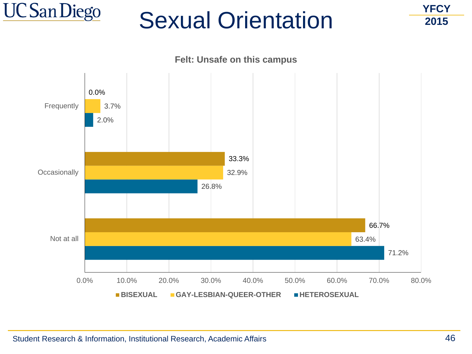

**Felt: Unsafe on this campus**

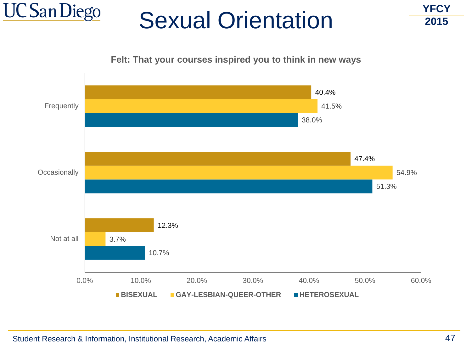

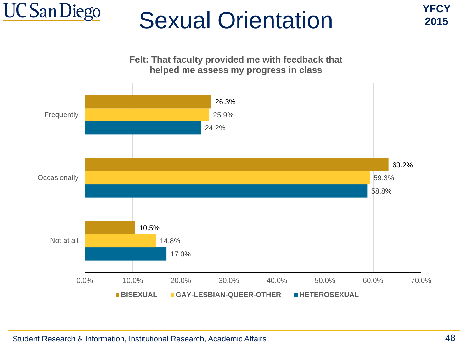

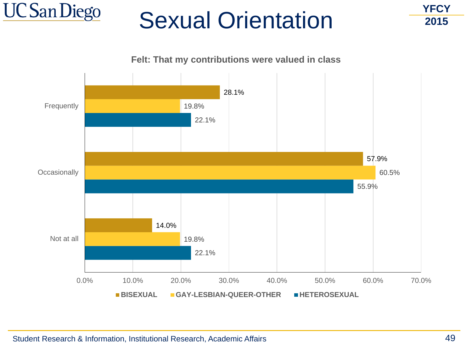

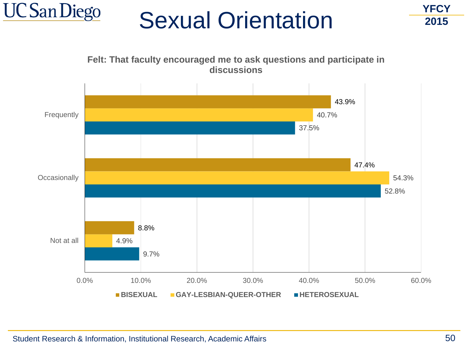

9.7% 52.8% 37.5% 4.9% 54.3% 40.7% 8.8% 47.4% 43.9% 0.0% 10.0% 20.0% 30.0% 40.0% 50.0% 60.0% Not at all **Occasionally Frequently Felt: That faculty encouraged me to ask questions and participate in discussions BISEXUAL GAY-LESBIAN-QUEER-OTHER HETEROSEXUAL**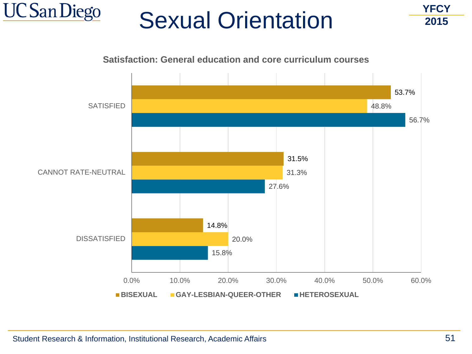

**YFCY 2015**



Student Research & Information, Institutional Research, Academic Affairs 51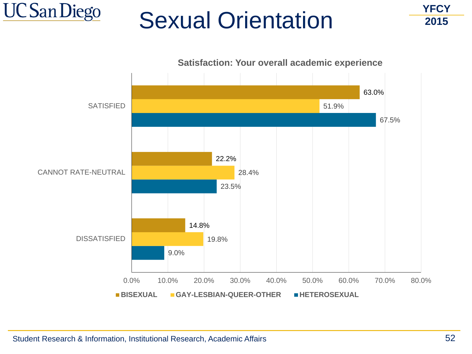

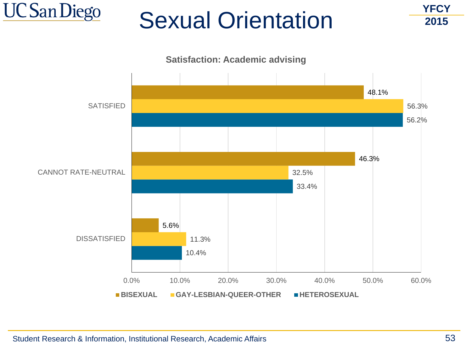





Student Research & Information, Institutional Research, Academic Affairs 53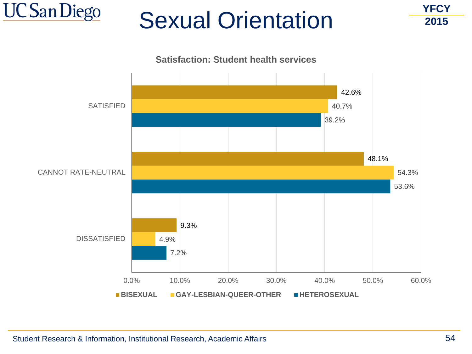

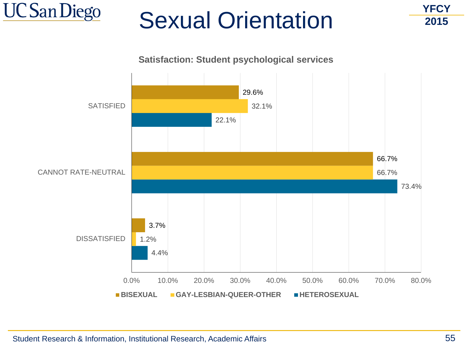

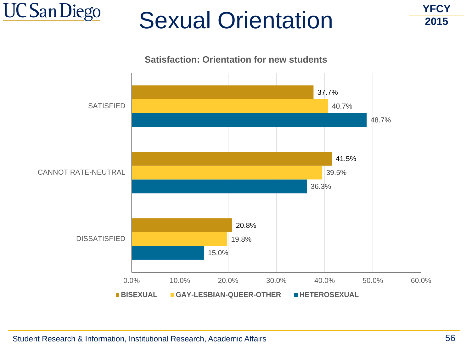



0.0% 10.0% 20.0% 30.0% 40.0% 50.0% 60.0%

**BISEXUAL GAY-LESBIAN-QUEER-OTHER HETEROSEXUAL**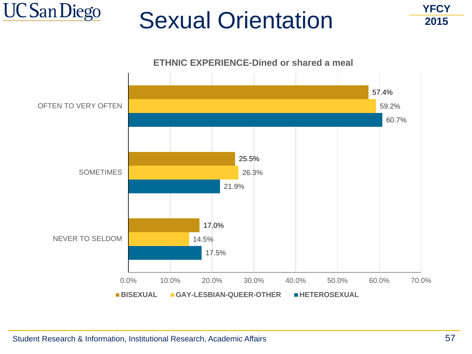

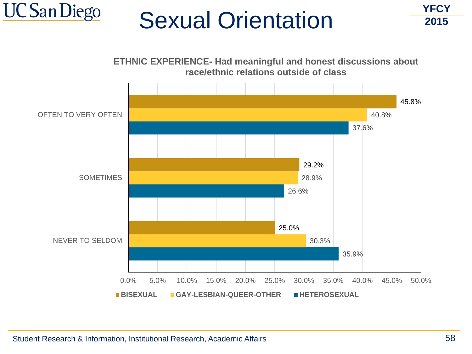

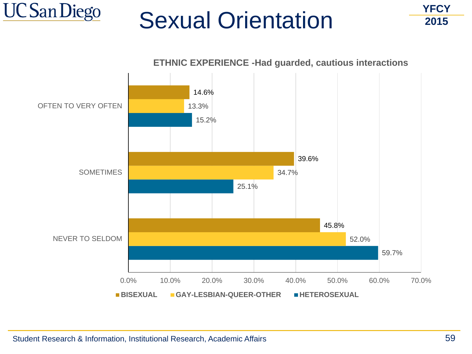

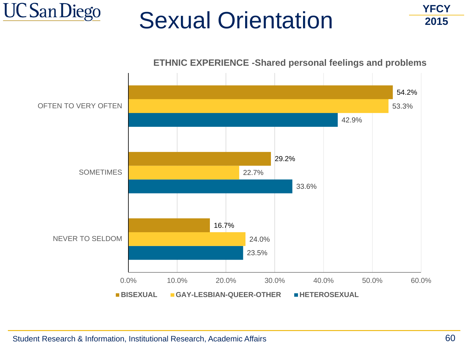





Student Research & Information, Institutional Research, Academic Affairs 60

**UC San Diego**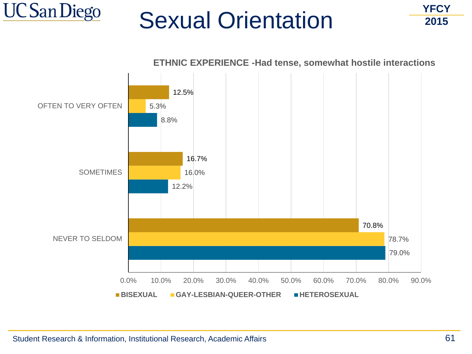



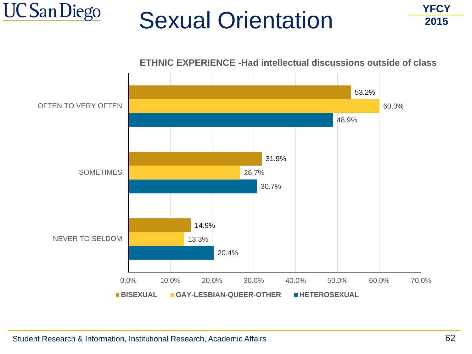



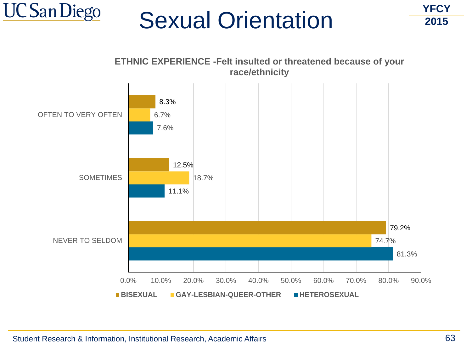

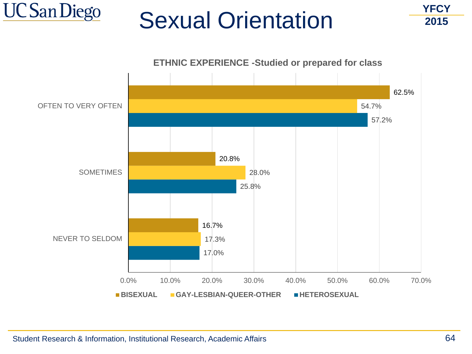

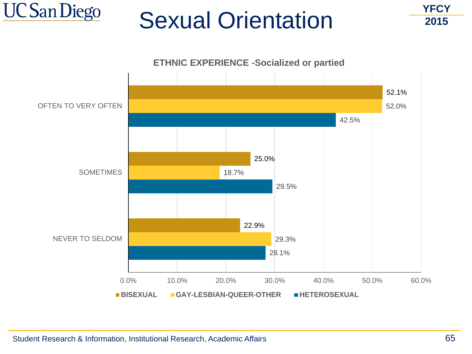



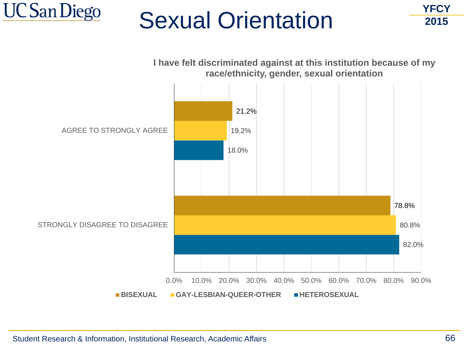

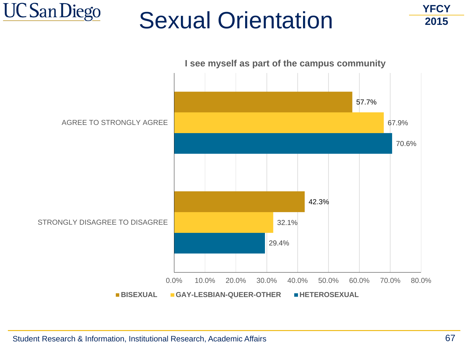



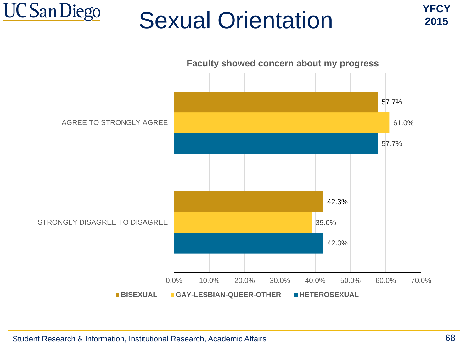





Student Research & Information, Institutional Research, Academic Affairs 68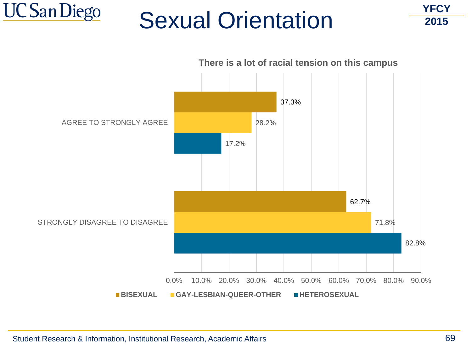

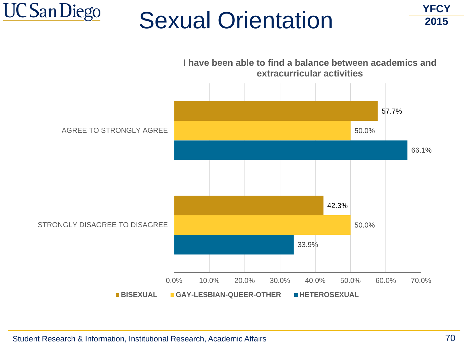



**UC San Diego**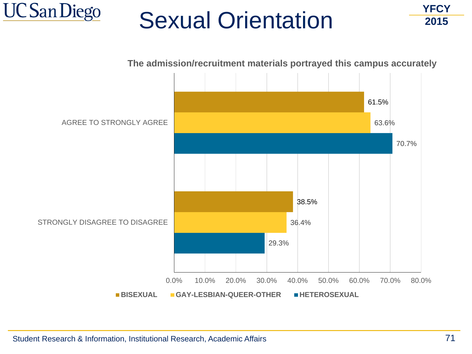





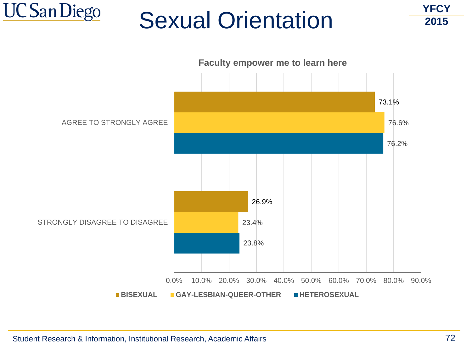



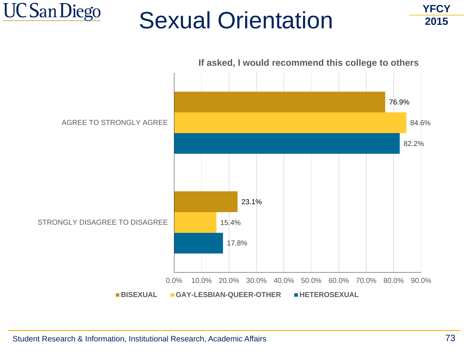



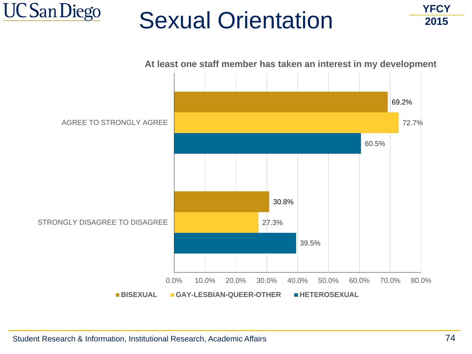

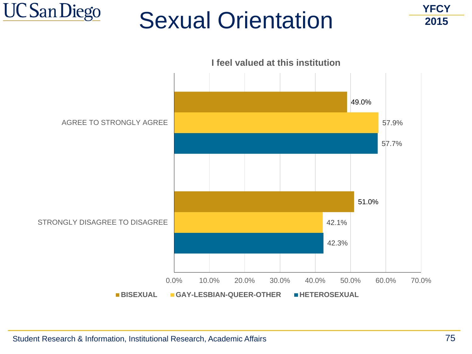

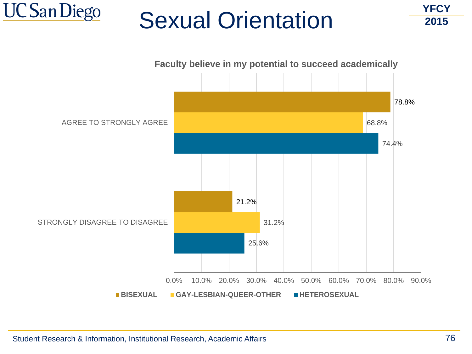

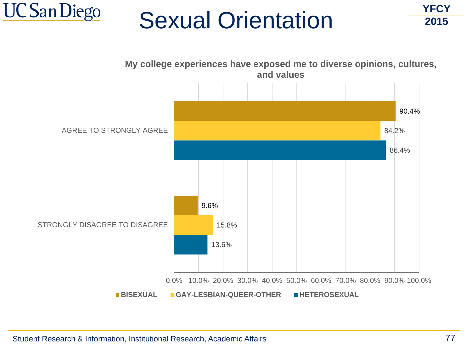



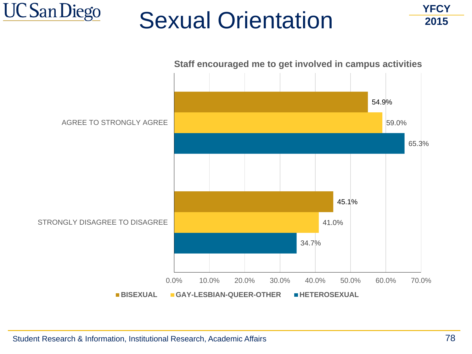



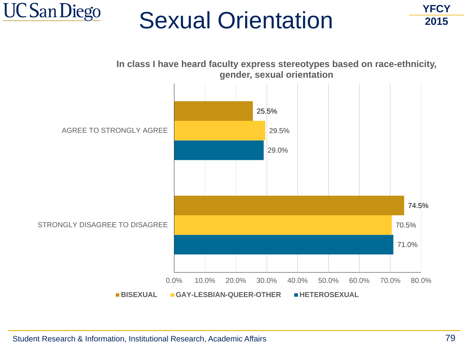

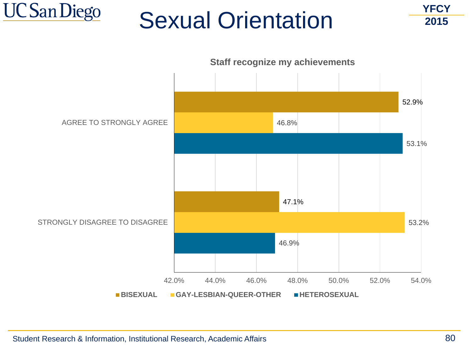

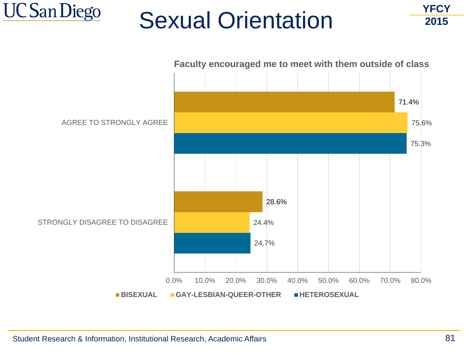



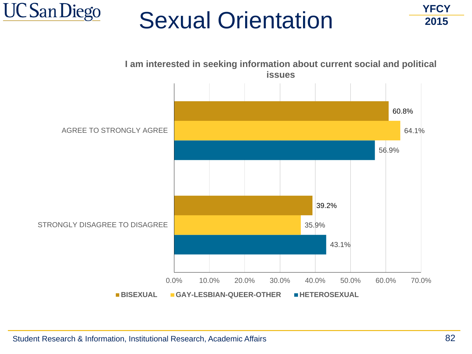



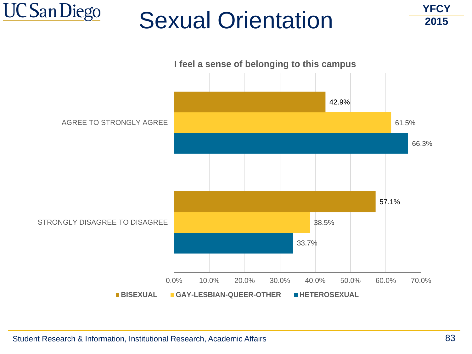



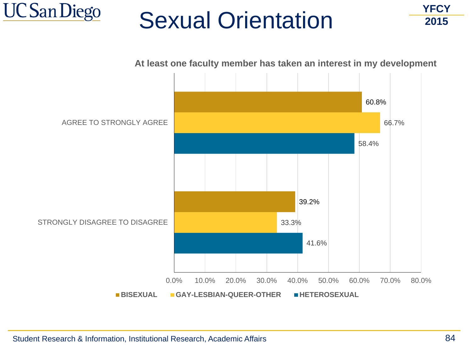



Student Research & Information, Institutional Research, Academic Affairs 64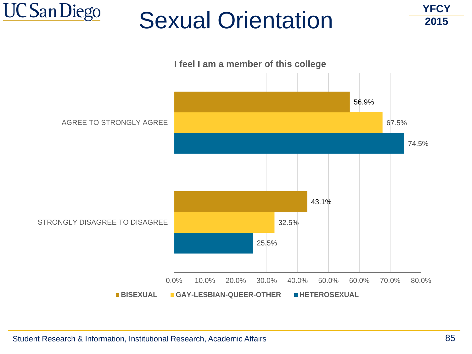



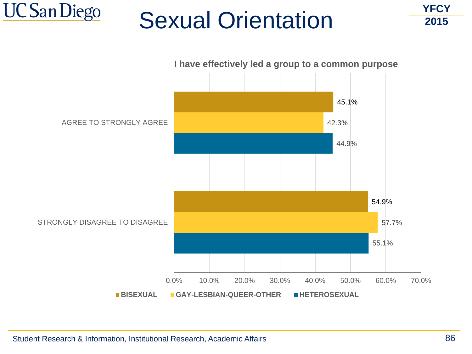

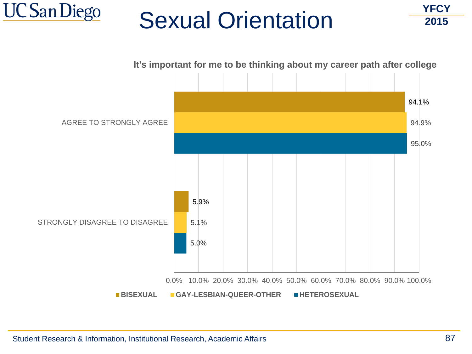

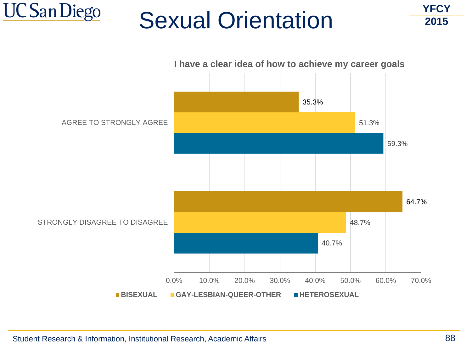

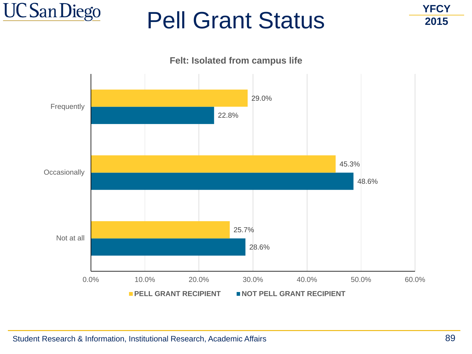



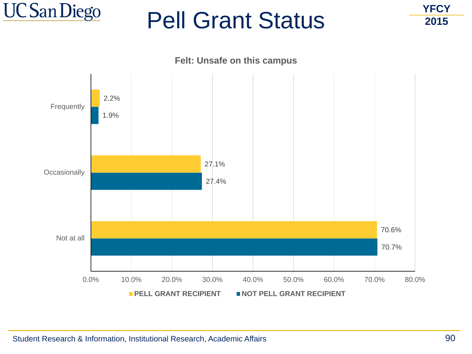



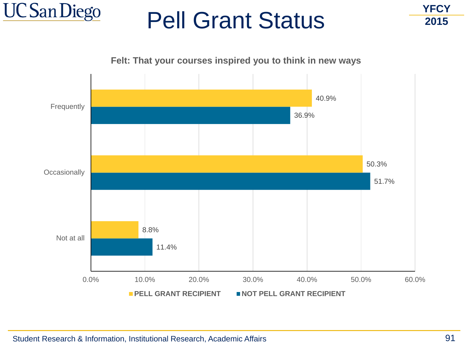

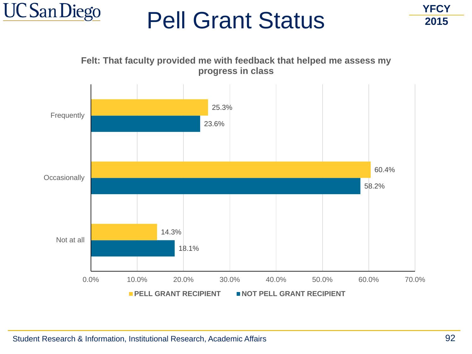

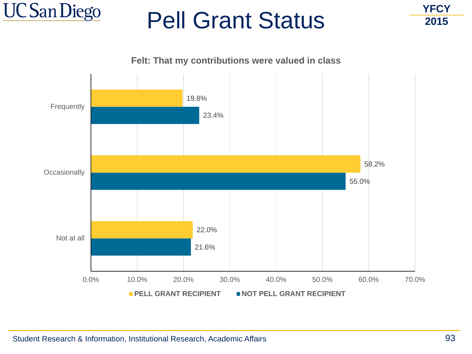

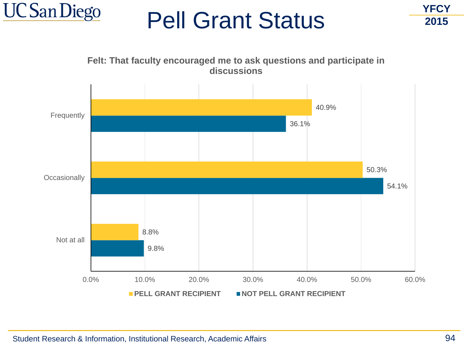



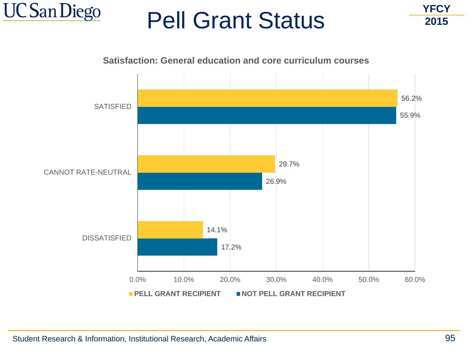

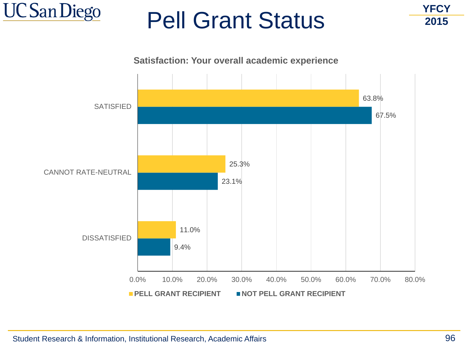



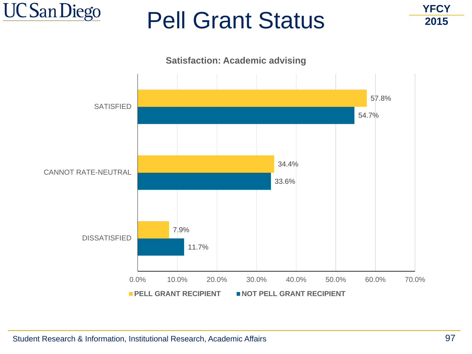



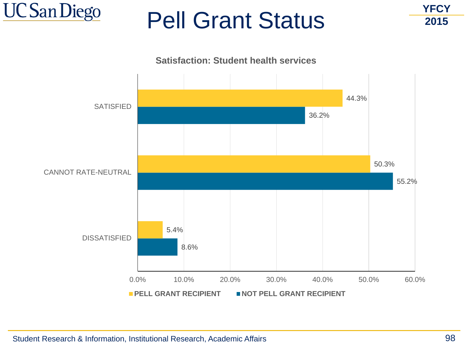



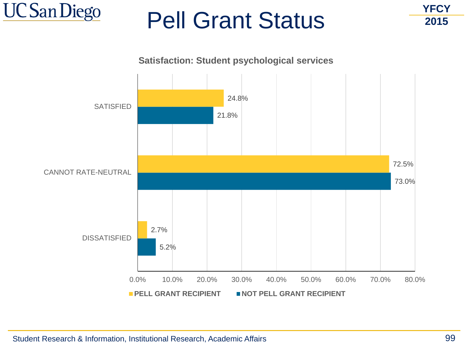

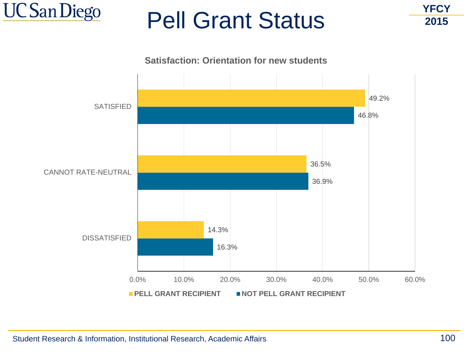



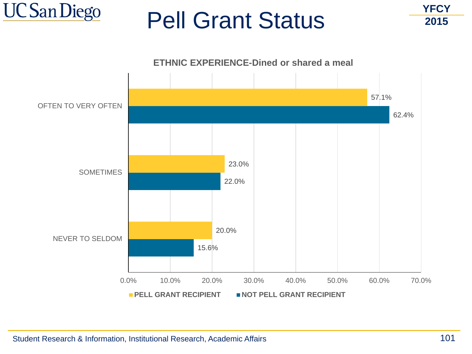

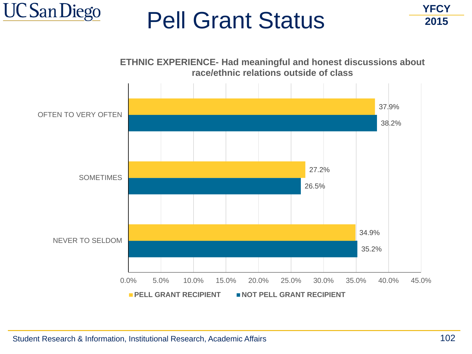

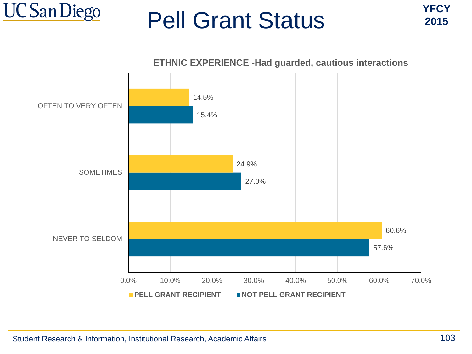



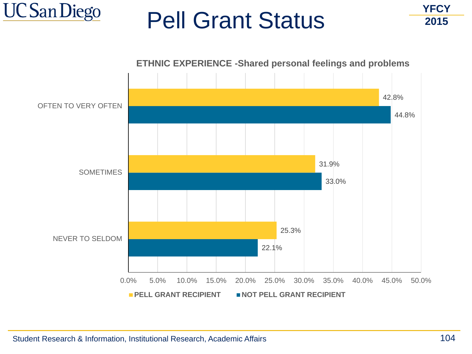

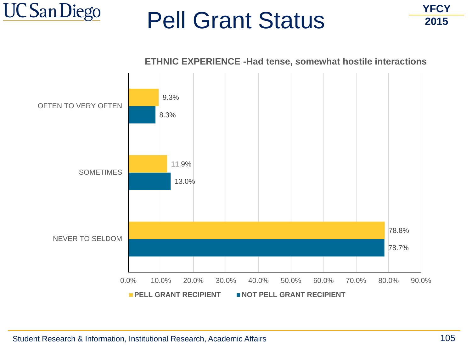



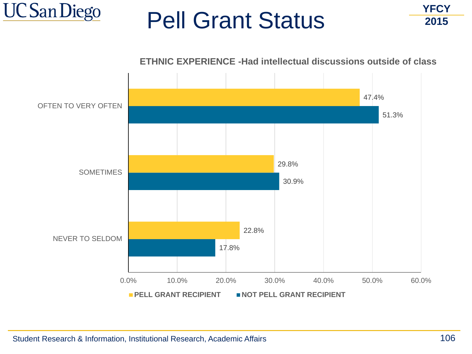



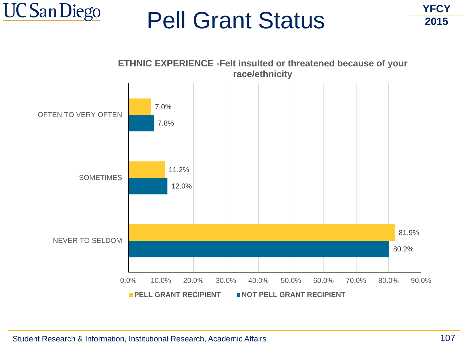

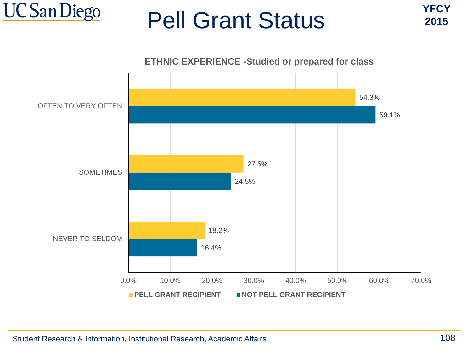

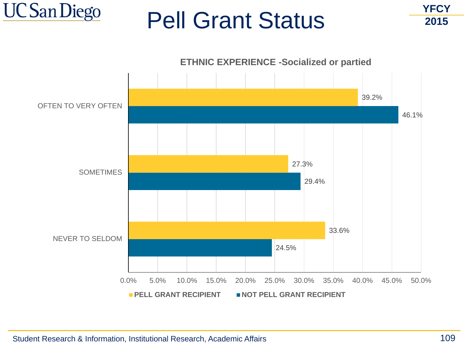

**YFCY 2015**



#### Student Research & Information, Institutional Research, Academic Affairs 109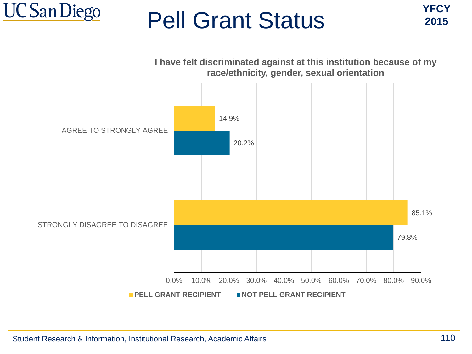

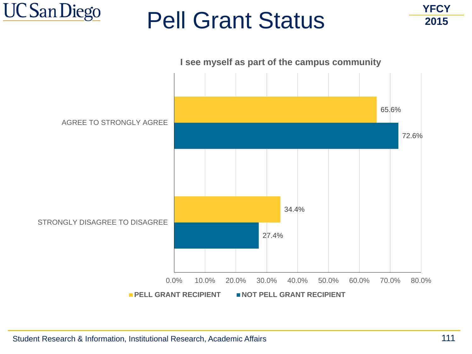

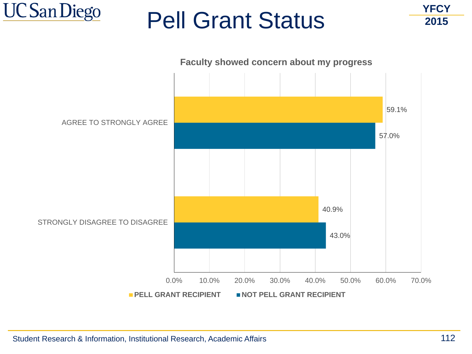

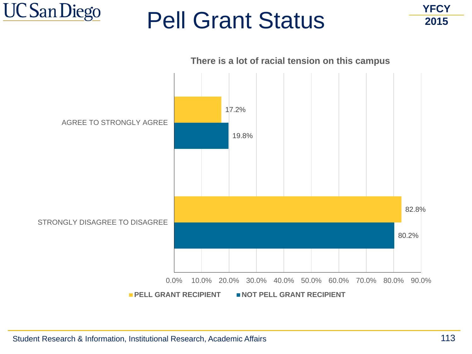



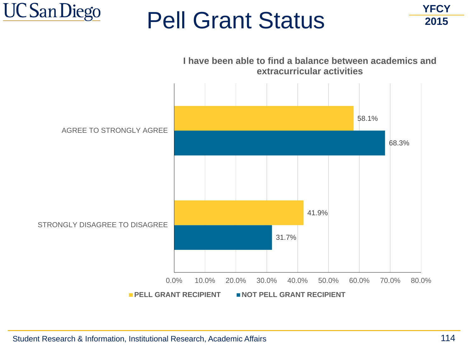



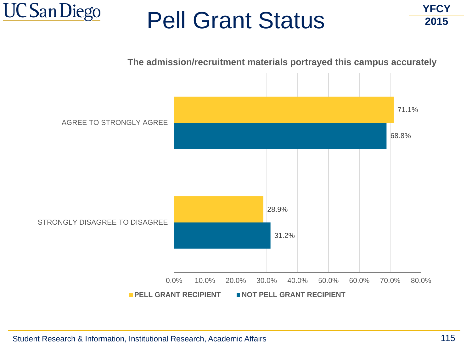



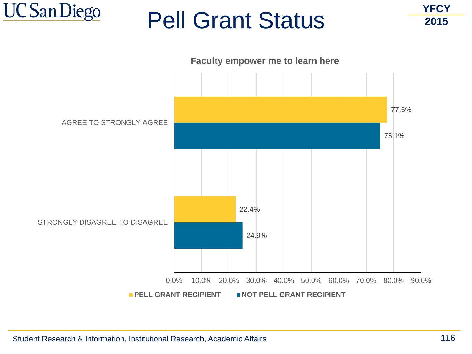



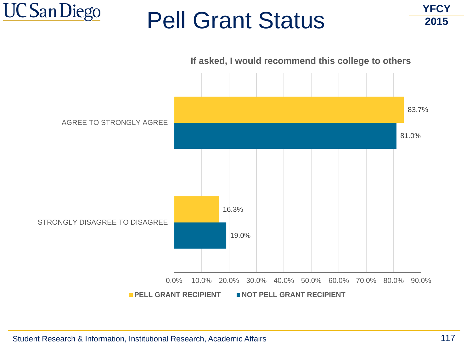



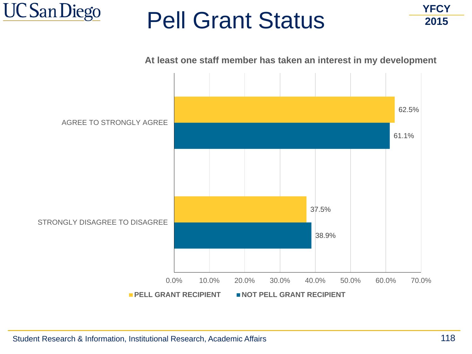



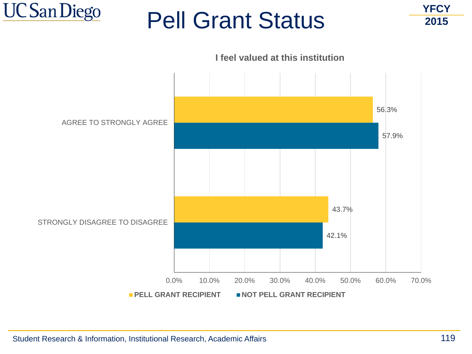



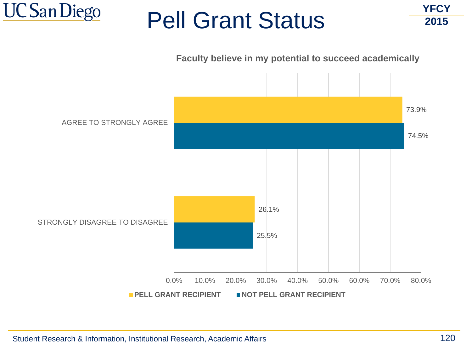



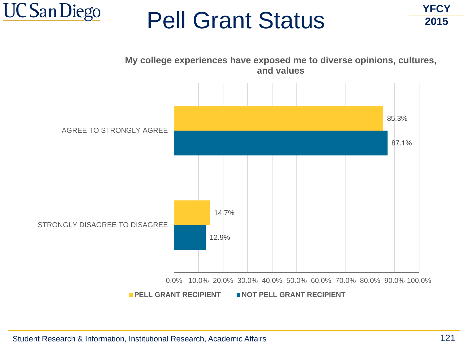



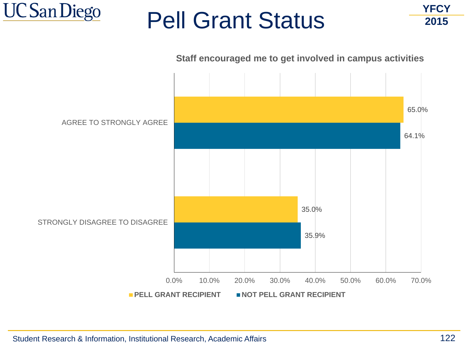



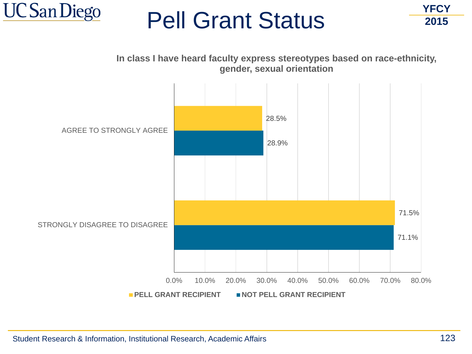



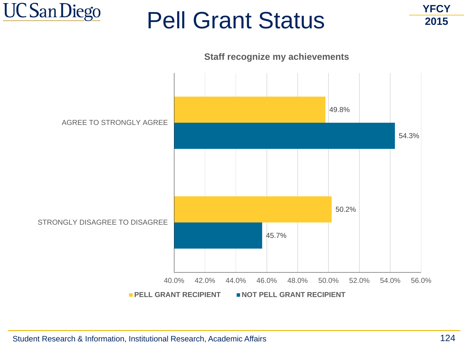



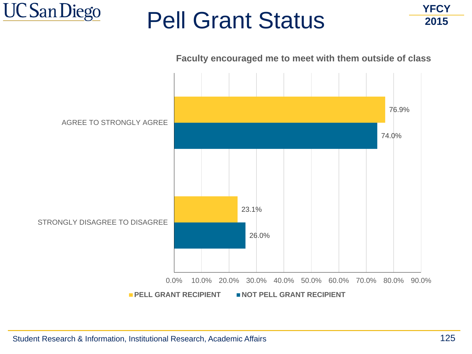



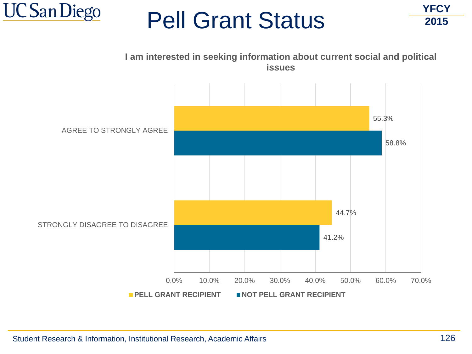



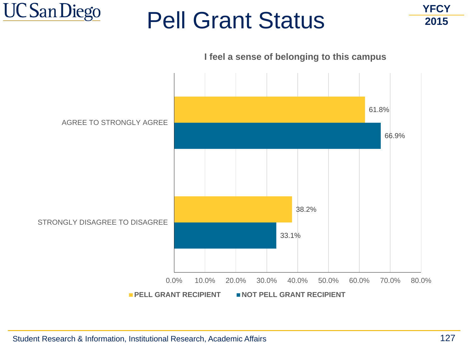

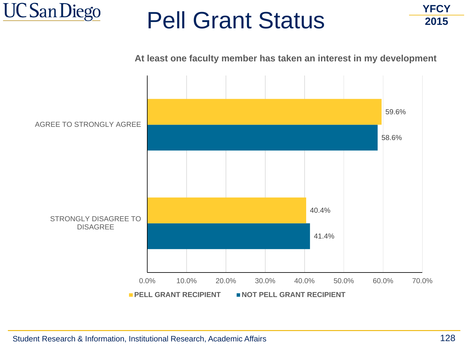

**YFCY 2015**

**At least one faculty member has taken an interest in my development**

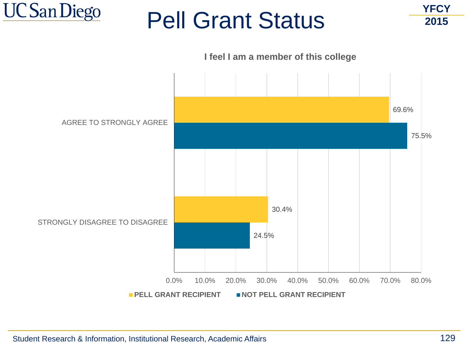



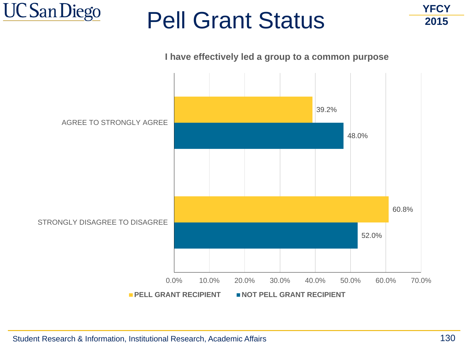

**YFCY 2015**

#### **I have effectively led a group to a common purpose**

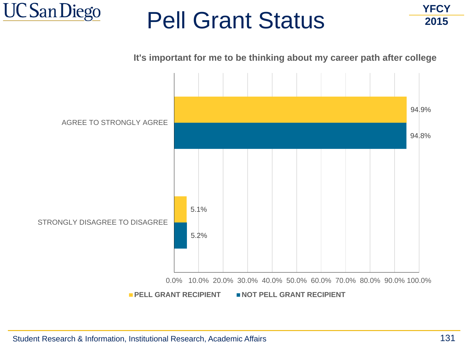